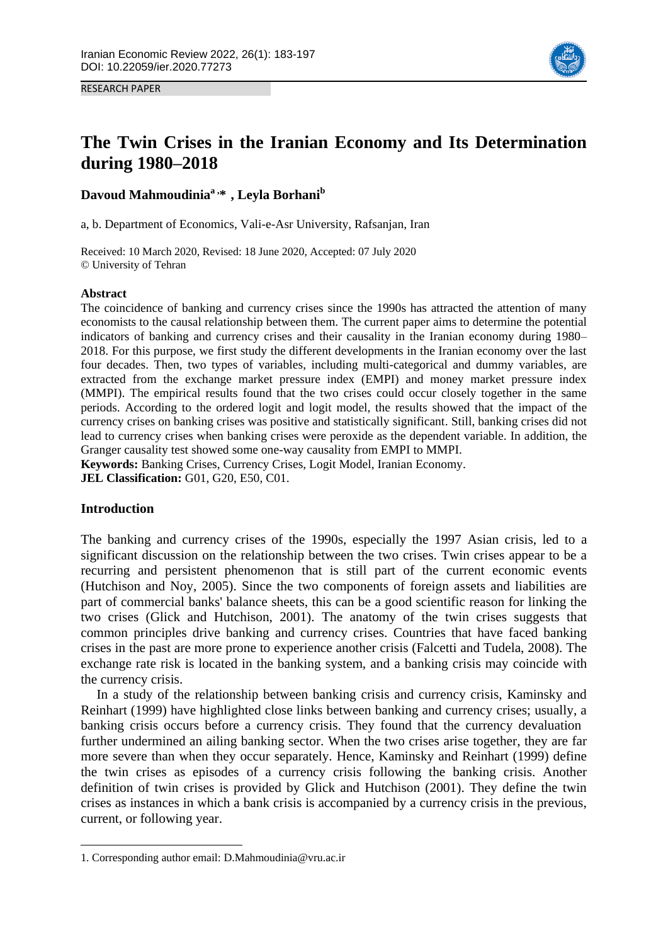

RESEARCH PAPER

# **The Twin Crises in the Iranian Economy and Its Determination during 1980–2018**

**Davoud Mahmoudinia<sup>a</sup> , \* 1 , Leyla Borhani<sup>b</sup>**

a, b. Department of Economics, Vali-e-Asr University, Rafsanjan, Iran

Received: 10 March 2020, Revised: 18 June 2020, Accepted: 07 July 2020 © University of Tehran

### **Abstract**

The coincidence of banking and currency crises since the 1990s has attracted the attention of many economists to the causal relationship between them. The current paper aims to determine the potential indicators of banking and currency crises and their causality in the Iranian economy during 1980– 2018. For this purpose, we first study the different developments in the Iranian economy over the last four decades. Then, two types of variables, including multi-categorical and dummy variables, are extracted from the exchange market pressure index (EMPI) and money market pressure index (MMPI). The empirical results found that the two crises could occur closely together in the same periods. According to the ordered logit and logit model, the results showed that the impact of the currency crises on banking crises was positive and statistically significant. Still, banking crises did not lead to currency crises when banking crises were peroxide as the dependent variable. In addition, the Granger causality test showed some one-way causality from EMPI to MMPI.

**Keywords:** Banking Crises, Currency Crises, Logit Model, Iranian Economy. **JEL Classification:** G01, G20, E50, C01.

## **Introduction**

**.** 

The banking and currency crises of the 1990s, especially the 1997 Asian crisis, led to a significant discussion on the relationship between the two crises. Twin crises appear to be a recurring and persistent phenomenon that is still part of the current economic events (Hutchison and Noy, 2005). Since the two components of foreign assets and liabilities are part of commercial banks' balance sheets, this can be a good scientific reason for linking the two crises (Glick and Hutchison, 2001). The anatomy of the twin crises suggests that common principles drive banking and currency crises. Countries that have faced banking crises in the past are more prone to experience another crisis (Falcetti and Tudela, 2008). The exchange rate risk is located in the banking system, and a banking crisis may coincide with the currency crisis.

In a study of the relationship between banking crisis and currency crisis, Kaminsky and Reinhart (1999) have highlighted close links between banking and currency crises; usually, a banking crisis occurs before a currency crisis. They found that the currency devaluation further undermined an ailing banking sector. When the two crises arise together, they are far more severe than when they occur separately. Hence, Kaminsky and Reinhart (1999) define the twin crises as episodes of a currency crisis following the banking crisis. Another definition of twin crises is provided by Glick and Hutchison (2001). They define the twin crises as instances in which a bank crisis is accompanied by a currency crisis in the previous, current, or following year.

<sup>1.</sup> Corresponding author email: D.Mahmoudinia@vru.ac.ir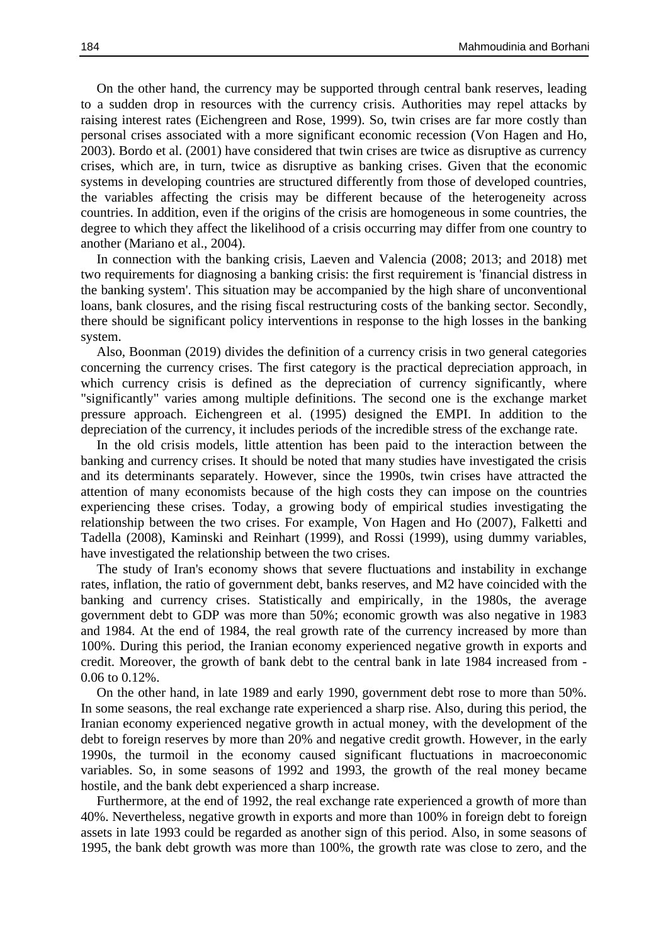On the other hand, the currency may be supported through central bank reserves, leading to a sudden drop in resources with the currency crisis. Authorities may repel attacks by raising interest rates (Eichengreen and Rose, 1999). So, twin crises are far more costly than personal crises associated with a more significant economic recession (Von Hagen and Ho, 2003). Bordo et al. (2001) have considered that twin crises are twice as disruptive as currency crises, which are, in turn, twice as disruptive as banking crises. Given that the economic systems in developing countries are structured differently from those of developed countries, the variables affecting the crisis may be different because of the heterogeneity across countries. In addition, even if the origins of the crisis are homogeneous in some countries, the degree to which they affect the likelihood of a crisis occurring may differ from one country to another (Mariano et al., 2004).

In connection with the banking crisis, Laeven and Valencia (2008; 2013; and 2018) met two requirements for diagnosing a banking crisis: the first requirement is 'financial distress in the banking system'. This situation may be accompanied by the high share of unconventional loans, bank closures, and the rising fiscal restructuring costs of the banking sector. Secondly, there should be significant policy interventions in response to the high losses in the banking system.

Also, Boonman (2019) divides the definition of a currency crisis in two general categories concerning the currency crises. The first category is the practical depreciation approach, in which currency crisis is defined as the depreciation of currency significantly, where "significantly" varies among multiple definitions. The second one is the exchange market pressure approach. Eichengreen et al. (1995) designed the EMPI. In addition to the depreciation of the currency, it includes periods of the incredible stress of the exchange rate.

In the old crisis models, little attention has been paid to the interaction between the banking and currency crises. It should be noted that many studies have investigated the crisis and its determinants separately. However, since the 1990s, twin crises have attracted the attention of many economists because of the high costs they can impose on the countries experiencing these crises. Today, a growing body of empirical studies investigating the relationship between the two crises. For example, Von Hagen and Ho (2007), Falketti and Tadella (2008), Kaminski and Reinhart (1999), and Rossi (1999), using dummy variables, have investigated the relationship between the two crises.

The study of Iran's economy shows that severe fluctuations and instability in exchange rates, inflation, the ratio of government debt, banks reserves, and M2 have coincided with the banking and currency crises. Statistically and empirically, in the 1980s, the average government debt to GDP was more than 50%; economic growth was also negative in 1983 and 1984. At the end of 1984, the real growth rate of the currency increased by more than 100%. During this period, the Iranian economy experienced negative growth in exports and credit. Moreover, the growth of bank debt to the central bank in late 1984 increased from - 0.06 to 0.12%.

On the other hand, in late 1989 and early 1990, government debt rose to more than 50%. In some seasons, the real exchange rate experienced a sharp rise. Also, during this period, the Iranian economy experienced negative growth in actual money, with the development of the debt to foreign reserves by more than 20% and negative credit growth. However, in the early 1990s, the turmoil in the economy caused significant fluctuations in macroeconomic variables. So, in some seasons of 1992 and 1993, the growth of the real money became hostile, and the bank debt experienced a sharp increase.

Furthermore, at the end of 1992, the real exchange rate experienced a growth of more than 40%. Nevertheless, negative growth in exports and more than 100% in foreign debt to foreign assets in late 1993 could be regarded as another sign of this period. Also, in some seasons of 1995, the bank debt growth was more than 100%, the growth rate was close to zero, and the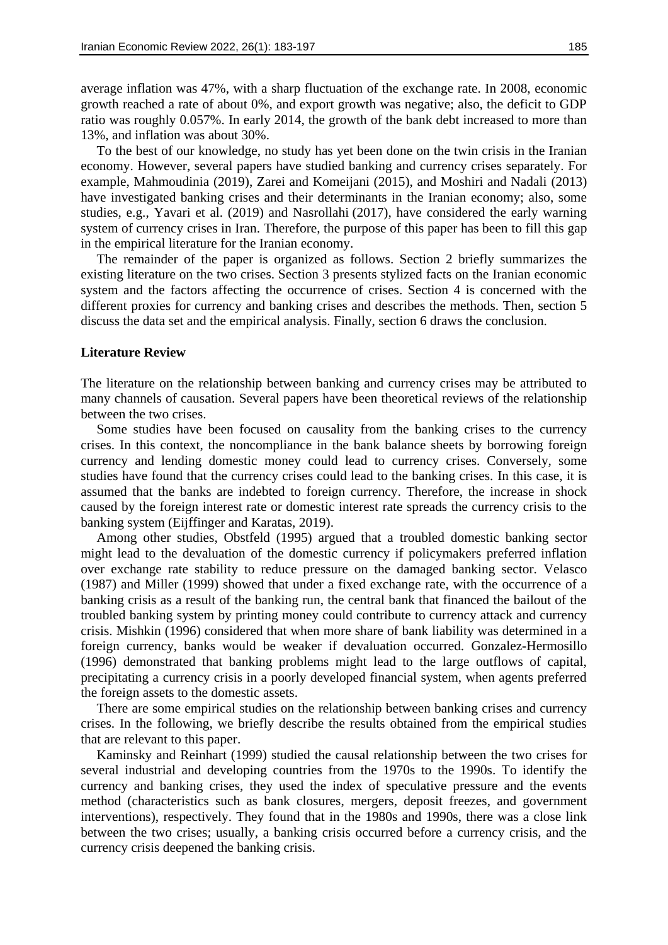average inflation was 47%, with a sharp fluctuation of the exchange rate. In 2008, economic growth reached a rate of about 0%, and export growth was negative; also, the deficit to GDP ratio was roughly 0.057%. In early 2014, the growth of the bank debt increased to more than 13%, and inflation was about 30%.

To the best of our knowledge, no study has yet been done on the twin crisis in the Iranian economy. However, several papers have studied banking and currency crises separately. For example, Mahmoudinia (2019), Zarei and Komeijani (2015), and Moshiri and Nadali (2013) have investigated banking crises and their determinants in the Iranian economy; also, some studies, e.g., Yavari et al. (2019) and Nasrollahi (2017), have considered the early warning system of currency crises in Iran. Therefore, the purpose of this paper has been to fill this gap in the empirical literature for the Iranian economy.

The remainder of the paper is organized as follows. Section 2 briefly summarizes the existing literature on the two crises. Section 3 presents stylized facts on the Iranian economic system and the factors affecting the occurrence of crises. Section 4 is concerned with the different proxies for currency and banking crises and describes the methods. Then, section 5 discuss the data set and the empirical analysis. Finally, section 6 draws the conclusion.

#### **Literature Review**

The literature on the relationship between banking and currency crises may be attributed to many channels of causation. Several papers have been theoretical reviews of the relationship between the two crises.

Some studies have been focused on causality from the banking crises to the currency crises. In this context, the noncompliance in the bank balance sheets by borrowing foreign currency and lending domestic money could lead to currency crises. Conversely, some studies have found that the currency crises could lead to the banking crises. In this case, it is assumed that the banks are indebted to foreign currency. Therefore, the increase in shock caused by the foreign interest rate or domestic interest rate spreads the currency crisis to the banking system (Eijffinger and Karatas, 2019).

Among other studies, Obstfeld (1995) argued that a troubled domestic banking sector might lead to the devaluation of the domestic currency if policymakers preferred inflation over exchange rate stability to reduce pressure on the damaged banking sector. Velasco (1987) and Miller (1999) showed that under a fixed exchange rate, with the occurrence of a banking crisis as a result of the banking run, the central bank that financed the bailout of the troubled banking system by printing money could contribute to currency attack and currency crisis. Mishkin (1996) considered that when more share of bank liability was determined in a foreign currency, banks would be weaker if devaluation occurred. Gonzalez-Hermosillo (1996) demonstrated that banking problems might lead to the large outflows of capital, precipitating a currency crisis in a poorly developed financial system, when agents preferred the foreign assets to the domestic assets.

There are some empirical studies on the relationship between banking crises and currency crises. In the following, we briefly describe the results obtained from the empirical studies that are relevant to this paper.

Kaminsky and Reinhart (1999) studied the causal relationship between the two crises for several industrial and developing countries from the 1970s to the 1990s. To identify the currency and banking crises, they used the index of speculative pressure and the events method (characteristics such as bank closures, mergers, deposit freezes, and government interventions), respectively. They found that in the 1980s and 1990s, there was a close link between the two crises; usually, a banking crisis occurred before a currency crisis, and the currency crisis deepened the banking crisis.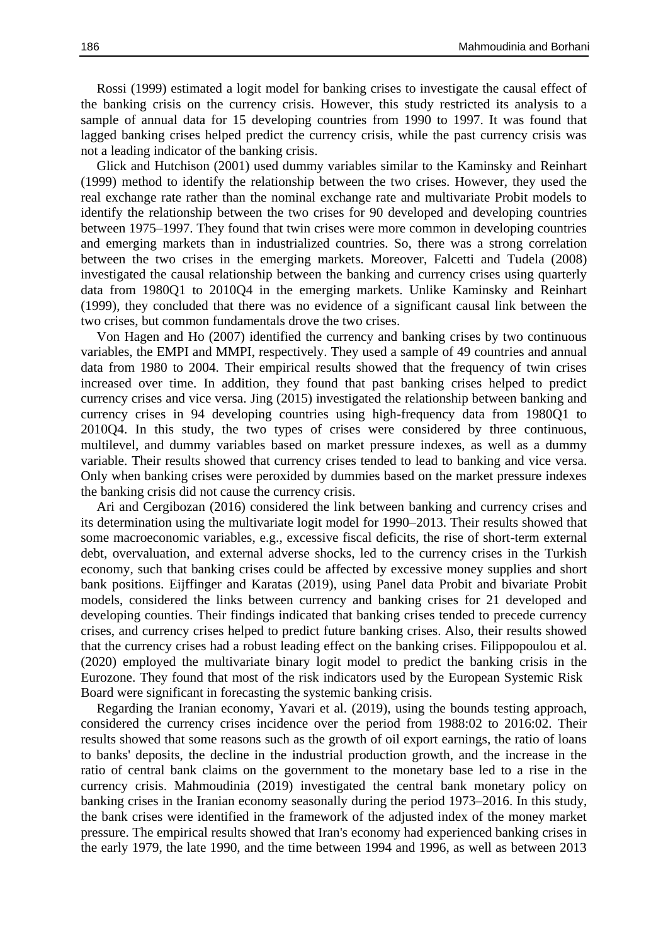Rossi (1999) estimated a logit model for banking crises to investigate the causal effect of the banking crisis on the currency crisis. However, this study restricted its analysis to a sample of annual data for 15 developing countries from 1990 to 1997. It was found that lagged banking crises helped predict the currency crisis, while the past currency crisis was not a leading indicator of the banking crisis.

Glick and Hutchison (2001) used dummy variables similar to the Kaminsky and Reinhart (1999) method to identify the relationship between the two crises. However, they used the real exchange rate rather than the nominal exchange rate and multivariate Probit models to identify the relationship between the two crises for 90 developed and developing countries between 1975–1997. They found that twin crises were more common in developing countries and emerging markets than in industrialized countries. So, there was a strong correlation between the two crises in the emerging markets. Moreover, Falcetti and Tudela (2008) investigated the causal relationship between the banking and currency crises using quarterly data from 1980Q1 to 2010Q4 in the emerging markets. Unlike Kaminsky and Reinhart (1999), they concluded that there was no evidence of a significant causal link between the two crises, but common fundamentals drove the two crises.

Von Hagen and Ho (2007) identified the currency and banking crises by two continuous variables, the EMPI and MMPI, respectively. They used a sample of 49 countries and annual data from 1980 to 2004. Their empirical results showed that the frequency of twin crises increased over time. In addition, they found that past banking crises helped to predict currency crises and vice versa. Jing (2015) investigated the relationship between banking and currency crises in 94 developing countries using high-frequency data from 1980Q1 to 2010Q4. In this study, the two types of crises were considered by three continuous, multilevel, and dummy variables based on market pressure indexes, as well as a dummy variable. Their results showed that currency crises tended to lead to banking and vice versa. Only when banking crises were peroxided by dummies based on the market pressure indexes the banking crisis did not cause the currency crisis.

Ari and Cergibozan (2016) considered the link between banking and currency crises and its determination using the multivariate logit model for 1990–2013. Their results showed that some macroeconomic variables, e.g., excessive fiscal deficits, the rise of short-term external debt, overvaluation, and external adverse shocks, led to the currency crises in the Turkish economy, such that banking crises could be affected by excessive money supplies and short bank positions. Eijffinger and Karatas (2019), using Panel data Probit and bivariate Probit models, considered the links between currency and banking crises for 21 developed and developing counties. Their findings indicated that banking crises tended to precede currency crises, and currency crises helped to predict future banking crises. Also, their results showed that the currency crises had a robust leading effect on the banking crises. Filippopoulou et al. (2020) employed the multivariate binary logit model to predict the banking crisis in the Eurozone. They found that most of the risk indicators used by the European Systemic Risk Board were significant in forecasting the systemic banking crisis.

Regarding the Iranian economy, Yavari et al. (2019), using the bounds testing approach, considered the currency crises incidence over the period from 1988:02 to 2016:02. Their results showed that some reasons such as the growth of oil export earnings, the ratio of loans to banks' deposits, the decline in the industrial production growth, and the increase in the ratio of central bank claims on the government to the monetary base led to a rise in the currency crisis. Mahmoudinia (2019) investigated the central bank monetary policy on banking crises in the Iranian economy seasonally during the period 1973–2016. In this study, the bank crises were identified in the framework of the adjusted index of the money market pressure. The empirical results showed that Iran's economy had experienced banking crises in the early 1979, the late 1990, and the time between 1994 and 1996, as well as between 2013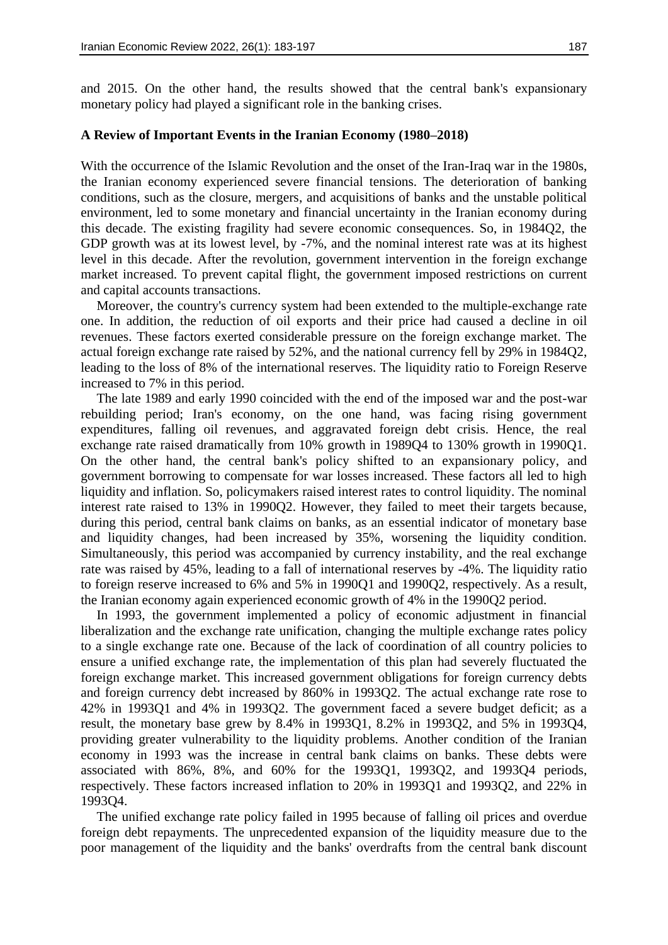and 2015. On the other hand, the results showed that the central bank's expansionary monetary policy had played a significant role in the banking crises.

#### **A Review of Important Events in the Iranian Economy (1980–2018)**

With the occurrence of the Islamic Revolution and the onset of the Iran-Iraq war in the 1980s, the Iranian economy experienced severe financial tensions. The deterioration of banking conditions, such as the closure, mergers, and acquisitions of banks and the unstable political environment, led to some monetary and financial uncertainty in the Iranian economy during this decade. The existing fragility had severe economic consequences. So, in 1984Q2, the GDP growth was at its lowest level, by -7%, and the nominal interest rate was at its highest level in this decade. After the revolution, government intervention in the foreign exchange market increased. To prevent capital flight, the government imposed restrictions on current and capital accounts transactions.

Moreover, the country's currency system had been extended to the multiple-exchange rate one. In addition, the reduction of oil exports and their price had caused a decline in oil revenues. These factors exerted considerable pressure on the foreign exchange market. The actual foreign exchange rate raised by 52%, and the national currency fell by 29% in 1984Q2, leading to the loss of 8% of the international reserves. The liquidity ratio to Foreign Reserve increased to 7% in this period.

The late 1989 and early 1990 coincided with the end of the imposed war and the post-war rebuilding period; Iran's economy, on the one hand, was facing rising government expenditures, falling oil revenues, and aggravated foreign debt crisis. Hence, the real exchange rate raised dramatically from 10% growth in 1989Q4 to 130% growth in 1990Q1. On the other hand, the central bank's policy shifted to an expansionary policy, and government borrowing to compensate for war losses increased. These factors all led to high liquidity and inflation. So, policymakers raised interest rates to control liquidity. The nominal interest rate raised to 13% in 1990Q2. However, they failed to meet their targets because, during this period, central bank claims on banks, as an essential indicator of monetary base and liquidity changes, had been increased by 35%, worsening the liquidity condition. Simultaneously, this period was accompanied by currency instability, and the real exchange rate was raised by 45%, leading to a fall of international reserves by -4%. The liquidity ratio to foreign reserve increased to 6% and 5% in 1990Q1 and 1990Q2, respectively. As a result, the Iranian economy again experienced economic growth of 4% in the 1990Q2 period.

In 1993, the government implemented a policy of economic adjustment in financial liberalization and the exchange rate unification, changing the multiple exchange rates policy to a single exchange rate one. Because of the lack of coordination of all country policies to ensure a unified exchange rate, the implementation of this plan had severely fluctuated the foreign exchange market. This increased government obligations for foreign currency debts and foreign currency debt increased by 860% in 1993Q2. The actual exchange rate rose to 42% in 1993Q1 and 4% in 1993Q2. The government faced a severe budget deficit; as a result, the monetary base grew by 8.4% in 1993Q1, 8.2% in 1993Q2, and 5% in 1993Q4, providing greater vulnerability to the liquidity problems. Another condition of the Iranian economy in 1993 was the increase in central bank claims on banks. These debts were associated with 86%, 8%, and 60% for the 1993Q1, 1993Q2, and 1993Q4 periods, respectively. These factors increased inflation to 20% in 1993Q1 and 1993Q2, and 22% in 1993Q4.

The unified exchange rate policy failed in 1995 because of falling oil prices and overdue foreign debt repayments. The unprecedented expansion of the liquidity measure due to the poor management of the liquidity and the banks' overdrafts from the central bank discount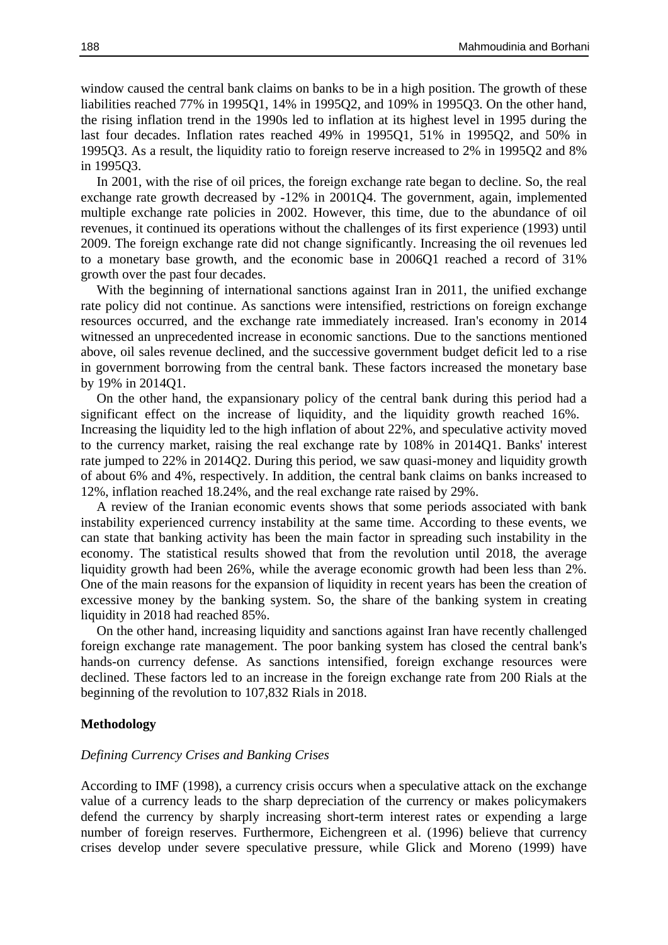window caused the central bank claims on banks to be in a high position. The growth of these liabilities reached 77% in 1995Q1, 14% in 1995Q2, and 109% in 1995Q3. On the other hand, the rising inflation trend in the 1990s led to inflation at its highest level in 1995 during the last four decades. Inflation rates reached 49% in 1995Q1, 51% in 1995Q2, and 50% in 1995Q3. As a result, the liquidity ratio to foreign reserve increased to 2% in 1995Q2 and 8% in 1995Q3.

In 2001, with the rise of oil prices, the foreign exchange rate began to decline. So, the real exchange rate growth decreased by -12% in 2001Q4. The government, again, implemented multiple exchange rate policies in 2002. However, this time, due to the abundance of oil revenues, it continued its operations without the challenges of its first experience (1993) until 2009. The foreign exchange rate did not change significantly. Increasing the oil revenues led to a monetary base growth, and the economic base in 2006Q1 reached a record of 31% growth over the past four decades.

With the beginning of international sanctions against Iran in 2011, the unified exchange rate policy did not continue. As sanctions were intensified, restrictions on foreign exchange resources occurred, and the exchange rate immediately increased. Iran's economy in 2014 witnessed an unprecedented increase in economic sanctions. Due to the sanctions mentioned above, oil sales revenue declined, and the successive government budget deficit led to a rise in government borrowing from the central bank. These factors increased the monetary base by 19% in 2014Q1.

On the other hand, the expansionary policy of the central bank during this period had a significant effect on the increase of liquidity, and the liquidity growth reached 16%. Increasing the liquidity led to the high inflation of about 22%, and speculative activity moved to the currency market, raising the real exchange rate by 108% in 2014Q1. Banks' interest rate jumped to 22% in 2014Q2. During this period, we saw quasi-money and liquidity growth of about 6% and 4%, respectively. In addition, the central bank claims on banks increased to 12%, inflation reached 18.24%, and the real exchange rate raised by 29%.

A review of the Iranian economic events shows that some periods associated with bank instability experienced currency instability at the same time. According to these events, we can state that banking activity has been the main factor in spreading such instability in the economy. The statistical results showed that from the revolution until 2018, the average liquidity growth had been 26%, while the average economic growth had been less than 2%. One of the main reasons for the expansion of liquidity in recent years has been the creation of excessive money by the banking system. So, the share of the banking system in creating liquidity in 2018 had reached 85%.

On the other hand, increasing liquidity and sanctions against Iran have recently challenged foreign exchange rate management. The poor banking system has closed the central bank's hands-on currency defense. As sanctions intensified, foreign exchange resources were declined. These factors led to an increase in the foreign exchange rate from 200 Rials at the beginning of the revolution to 107,832 Rials in 2018.

#### **Methodology**

#### *Defining Currency Crises and Banking Crises*

According to IMF (1998), a currency crisis occurs when a speculative attack on the exchange value of a currency leads to the sharp depreciation of the currency or makes policymakers defend the currency by sharply increasing short-term interest rates or expending a large number of foreign reserves. Furthermore, Eichengreen et al. (1996) believe that currency crises develop under severe speculative pressure, while Glick and Moreno (1999) have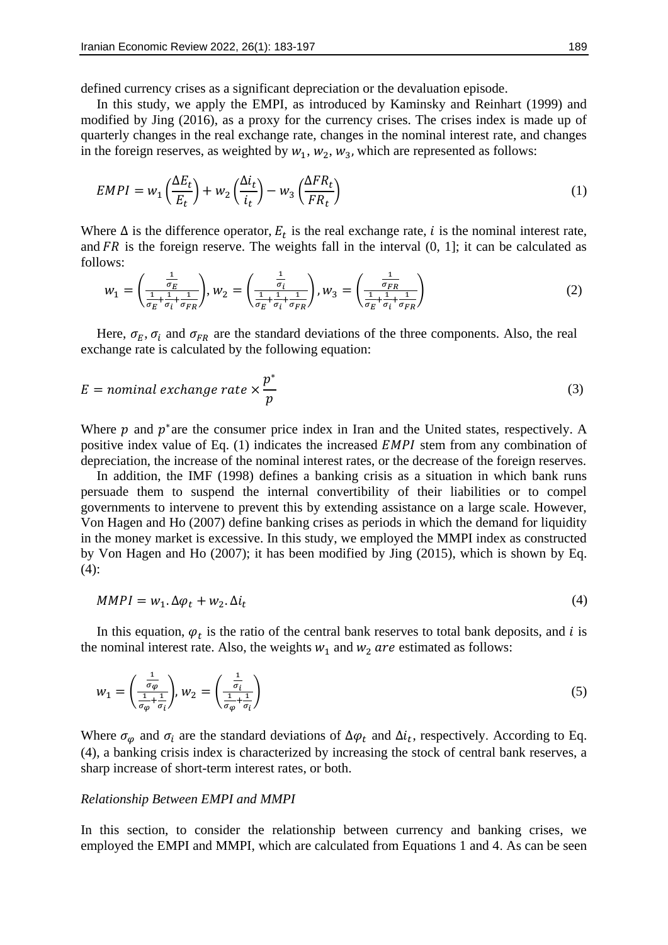defined currency crises as a significant depreciation or the devaluation episode.

In this study, we apply the EMPI, as introduced by Kaminsky and Reinhart (1999) and modified by Jing (2016), as a proxy for the currency crises. The crises index is made up of quarterly changes in the real exchange rate, changes in the nominal interest rate, and changes in the foreign reserves, as weighted by  $w_1$ ,  $w_2$ ,  $w_3$ , which are represented as follows:

$$
EMPI = w_1 \left(\frac{\Delta E_t}{E_t}\right) + w_2 \left(\frac{\Delta i_t}{i_t}\right) - w_3 \left(\frac{\Delta FR_t}{FR_t}\right) \tag{1}
$$

Where  $\Delta$  is the difference operator,  $E_t$  is the real exchange rate, i is the nominal interest rate, and FR is the foreign reserve. The weights fall in the interval  $(0, 1]$ ; it can be calculated as follows:

$$
w_1 = \left(\frac{\frac{1}{\sigma_E}}{\frac{1}{\sigma_E} + \frac{1}{\sigma_i} + \frac{1}{\sigma_{FR}}}\right), w_2 = \left(\frac{\frac{1}{\sigma_i}}{\frac{1}{\sigma_E} + \frac{1}{\sigma_i} + \frac{1}{\sigma_{FR}}}\right), w_3 = \left(\frac{\frac{1}{\sigma_{FR}}}{\frac{1}{\sigma_E} + \frac{1}{\sigma_i} + \frac{1}{\sigma_{FR}}}\right)
$$
(2)

Here,  $\sigma_E$ ,  $\sigma_i$  and  $\sigma_{FR}$  are the standard deviations of the three components. Also, the real exchange rate is calculated by the following equation:

$$
E = nominal \; exchange \; rate \times \frac{p^*}{p} \tag{3}
$$

Where  $p$  and  $p^*$  are the consumer price index in Iran and the United states, respectively. A positive index value of Eq.  $(1)$  indicates the increased *EMPI* stem from any combination of depreciation, the increase of the nominal interest rates, or the decrease of the foreign reserves.

In addition, the IMF (1998) defines a banking crisis as a situation in which bank runs persuade them to suspend the internal convertibility of their liabilities or to compel governments to intervene to prevent this by extending assistance on a large scale. However, Von Hagen and Ho (2007) define banking crises as periods in which the demand for liquidity in the money market is excessive. In this study, we employed the MMPI index as constructed by Von Hagen and Ho (2007); it has been modified by Jing (2015), which is shown by Eq.  $(4)$ :

$$
MMPI = w_1 \Delta \varphi_t + w_2 \Delta i_t \tag{4}
$$

In this equation,  $\varphi_t$  is the ratio of the central bank reserves to total bank deposits, and i is the nominal interest rate. Also, the weights  $w_1$  and  $w_2$  are estimated as follows:

$$
w_1 = \left(\frac{\frac{1}{\sigma_{\varphi}}}{\frac{1}{\sigma_{\varphi}} + \frac{1}{\sigma_i}}\right), w_2 = \left(\frac{\frac{1}{\sigma_i}}{\frac{1}{\sigma_{\varphi}} + \frac{1}{\sigma_i}}\right)
$$
\n<sup>(5)</sup>

Where  $\sigma_{\varphi}$  and  $\sigma_i$  are the standard deviations of  $\Delta \varphi_t$  and  $\Delta i_t$ , respectively. According to Eq. (4), a banking crisis index is characterized by increasing the stock of central bank reserves, a sharp increase of short-term interest rates, or both.

#### *Relationship Between EMPI and MMPI*

In this section, to consider the relationship between currency and banking crises, we employed the EMPI and MMPI, which are calculated from Equations 1 and 4. As can be seen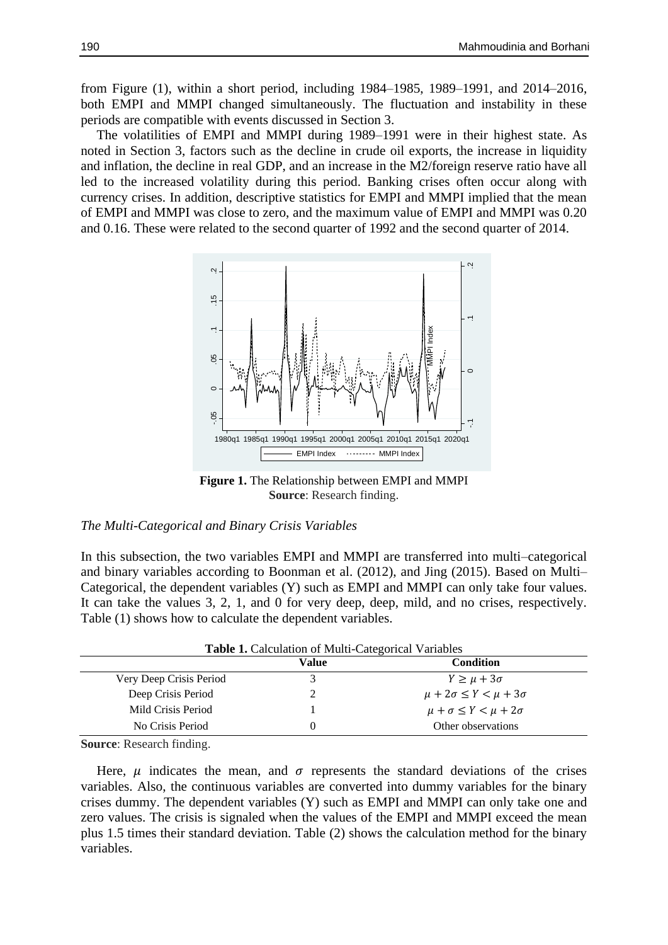from Figure (1), within a short period, including 1984–1985, 1989–1991, and 2014–2016, both EMPI and MMPI changed simultaneously. The fluctuation and instability in these periods are compatible with events discussed in Section 3.

The volatilities of EMPI and MMPI during 1989–1991 were in their highest state. As noted in Section 3, factors such as the decline in crude oil exports, the increase in liquidity and inflation, the decline in real GDP, and an increase in the M2/foreign reserve ratio have all led to the increased volatility during this period. Banking crises often occur along with currency crises. In addition, descriptive statistics for EMPI and MMPI implied that the mean of EMPI and MMPI was close to zero, and the maximum value of EMPI and MMPI was 0.20 and 0.16. These were related to the second quarter of 1992 and the second quarter of 2014.



**Figure 1.** The Relationship between EMPI and MMPI **Source**: Research finding.

#### *The Multi-Categorical and Binary Crisis Variables*

In this subsection, the two variables EMPI and MMPI are transferred into multi–categorical and binary variables according to Boonman et al. (2012), and Jing (2015). Based on Multi– Categorical, the dependent variables (Y) such as EMPI and MMPI can only take four values. It can take the values 3, 2, 1, and 0 for very deep, deep, mild, and no crises, respectively. Table (1) shows how to calculate the dependent variables.

| Table 1. Calculation of Multi-Categorical Variables |          |                                       |  |  |
|-----------------------------------------------------|----------|---------------------------------------|--|--|
|                                                     | Value    | <b>Condition</b>                      |  |  |
| Very Deep Crisis Period                             |          | $Y \geq \mu + 3\sigma$                |  |  |
| Deep Crisis Period                                  |          | $\mu + 2\sigma \le Y < \mu + 3\sigma$ |  |  |
| Mild Crisis Period                                  |          | $\mu + \sigma \leq Y < \mu + 2\sigma$ |  |  |
| No Crisis Period                                    | $\theta$ | Other observations                    |  |  |

**Source**: Research finding.

Here,  $\mu$  indicates the mean, and  $\sigma$  represents the standard deviations of the crises variables. Also, the continuous variables are converted into dummy variables for the binary crises dummy. The dependent variables (Y) such as EMPI and MMPI can only take one and zero values. The crisis is signaled when the values of the EMPI and MMPI exceed the mean plus 1.5 times their standard deviation. Table (2) shows the calculation method for the binary variables.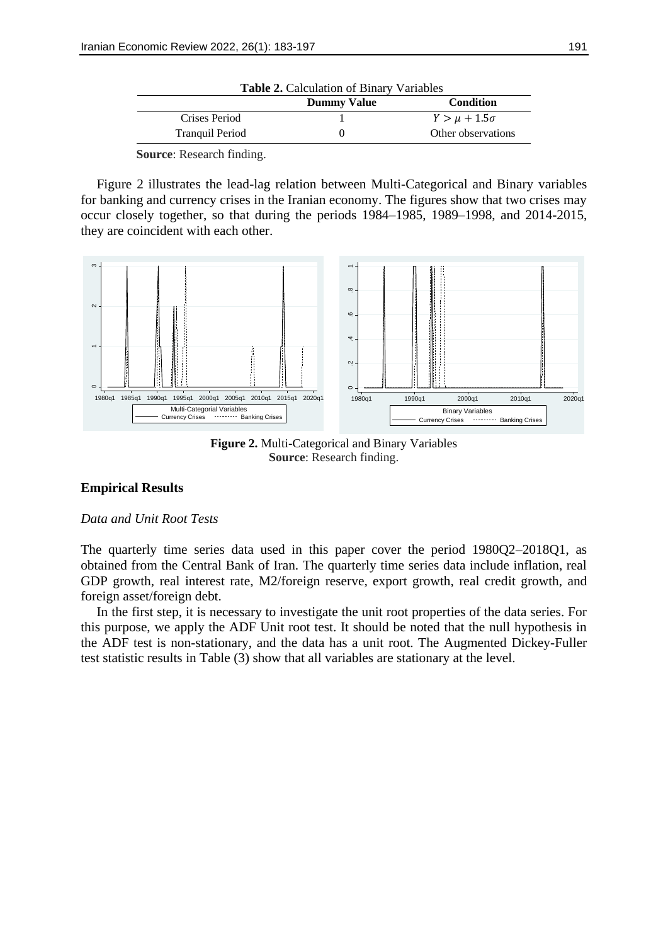| <b>Table 2.</b> Calculation of Binary Variables |                    |                       |  |
|-------------------------------------------------|--------------------|-----------------------|--|
|                                                 | <b>Dummy Value</b> | <b>Condition</b>      |  |
| Crises Period                                   |                    | $Y > \mu + 1.5\sigma$ |  |
| <b>Tranguil Period</b>                          |                    | Other observations    |  |

**Source**: Research finding.

Figure 2 illustrates the lead-lag relation between Multi-Categorical and Binary variables for banking and currency crises in the Iranian economy. The figures show that two crises may occur closely together, so that during the periods 1984–1985, 1989–1998, and 2014-2015, they are coincident with each other.



**Figure 2.** Multi-Categorical and Binary Variables **Source**: Research finding.

## **Empirical Results**

## *Data and Unit Root Tests*

The quarterly time series data used in this paper cover the period 1980Q2–2018Q1, as obtained from the Central Bank of Iran. The quarterly time series data include inflation, real GDP growth, real interest rate, M2/foreign reserve, export growth, real credit growth, and foreign asset/foreign debt.

In the first step, it is necessary to investigate the unit root properties of the data series. For this purpose, we apply the ADF Unit root test. It should be noted that the null hypothesis in the ADF test is non-stationary, and the data has a unit root. The Augmented Dickey-Fuller test statistic results in Table (3) show that all variables are stationary at the level.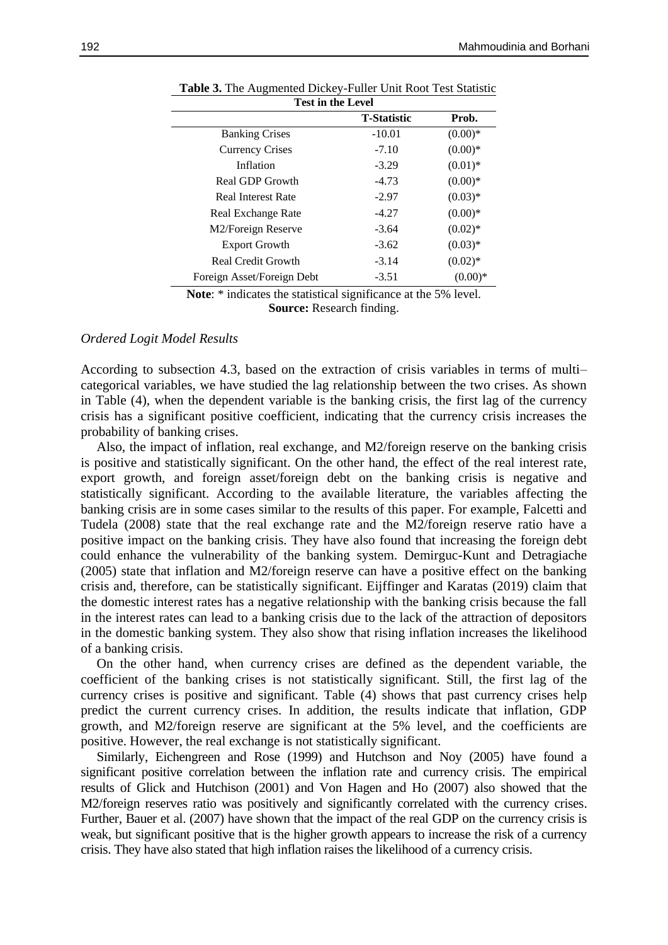| <b>Test in the Level</b>    |          |            |  |  |  |
|-----------------------------|----------|------------|--|--|--|
| <b>T-Statistic</b><br>Prob. |          |            |  |  |  |
| <b>Banking Crises</b>       | $-10.01$ | $(0.00)*$  |  |  |  |
| <b>Currency Crises</b>      | $-7.10$  | $(0.00)*$  |  |  |  |
| Inflation                   | $-3.29$  | $(0.01)$ * |  |  |  |
| Real GDP Growth             | $-4.73$  | $(0.00)*$  |  |  |  |
| Real Interest Rate          | $-2.97$  | $(0.03)*$  |  |  |  |
| Real Exchange Rate          | $-4.27$  | $(0.00)*$  |  |  |  |
| M2/Foreign Reserve          | $-3.64$  | $(0.02)*$  |  |  |  |
| <b>Export Growth</b>        | $-3.62$  | $(0.03)*$  |  |  |  |
| Real Credit Growth          | $-3.14$  | $(0.02)^*$ |  |  |  |
| Foreign Asset/Foreign Debt  | $-3.51$  | $(0.00)*$  |  |  |  |

| Table 3. The Augmented Dickey-Fuller Unit Root Test Statistic |
|---------------------------------------------------------------|
|---------------------------------------------------------------|

**Note**: \* indicates the statistical significance at the 5% level. **Source:** Research finding.

## *Ordered Logit Model Results*

According to subsection 4.3, based on the extraction of crisis variables in terms of multi– categorical variables, we have studied the lag relationship between the two crises. As shown in Table (4), when the dependent variable is the banking crisis, the first lag of the currency crisis has a significant positive coefficient, indicating that the currency crisis increases the probability of banking crises.

Also, the impact of inflation, real exchange, and M2/foreign reserve on the banking crisis is positive and statistically significant. On the other hand, the effect of the real interest rate, export growth, and foreign asset/foreign debt on the banking crisis is negative and statistically significant. According to the available literature, the variables affecting the banking crisis are in some cases similar to the results of this paper. For example, Falcetti and Tudela (2008) state that the real exchange rate and the M2/foreign reserve ratio have a positive impact on the banking crisis. They have also found that increasing the foreign debt could enhance the vulnerability of the banking system. Demirguc-Kunt and Detragiache (2005) state that inflation and M2/foreign reserve can have a positive effect on the banking crisis and, therefore, can be statistically significant. Eijffinger and Karatas (2019) claim that the domestic interest rates has a negative relationship with the banking crisis because the fall in the interest rates can lead to a banking crisis due to the lack of the attraction of depositors in the domestic banking system. They also show that rising inflation increases the likelihood of a banking crisis.

On the other hand, when currency crises are defined as the dependent variable, the coefficient of the banking crises is not statistically significant. Still, the first lag of the currency crises is positive and significant. Table (4) shows that past currency crises help predict the current currency crises. In addition, the results indicate that inflation, GDP growth, and M2/foreign reserve are significant at the 5% level, and the coefficients are positive. However, the real exchange is not statistically significant.

Similarly, Eichengreen and Rose (1999) and Hutchson and Noy (2005) have found a significant positive correlation between the inflation rate and currency crisis. The empirical results of Glick and Hutchison (2001) and Von Hagen and Ho (2007) also showed that the M2/foreign reserves ratio was positively and significantly correlated with the currency crises. Further, Bauer et al. (2007) have shown that the impact of the real GDP on the currency crisis is weak, but significant positive that is the higher growth appears to increase the risk of a currency crisis. They have also stated that high inflation raises the likelihood of a currency crisis.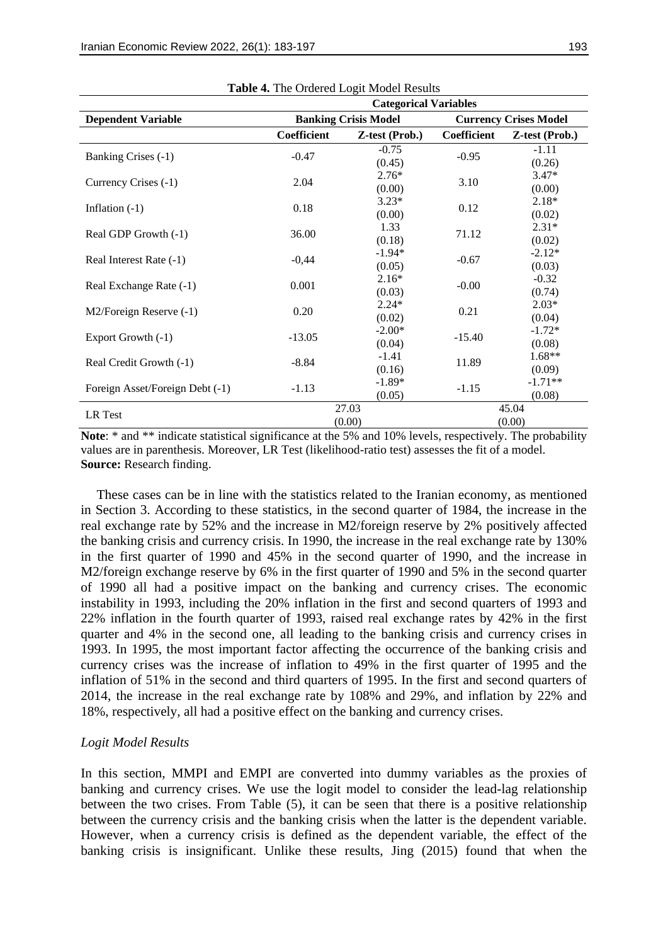|                                 | <b>Table 4.</b> The Ordered Logit Model Results<br><b>Categorical Variables</b> |                    |                              |                     |  |
|---------------------------------|---------------------------------------------------------------------------------|--------------------|------------------------------|---------------------|--|
| <b>Dependent Variable</b>       | <b>Banking Crisis Model</b>                                                     |                    | <b>Currency Crises Model</b> |                     |  |
|                                 | <b>Coefficient</b>                                                              | Z-test (Prob.)     | <b>Coefficient</b>           | Z-test (Prob.)      |  |
| Banking Crises (-1)             | $-0.47$                                                                         | $-0.75$<br>(0.45)  | $-0.95$                      | $-1.11$<br>(0.26)   |  |
| Currency Crises (-1)            | 2.04                                                                            | $2.76*$<br>(0.00)  | 3.10                         | $3.47*$<br>(0.00)   |  |
| Inflation $(-1)$                | 0.18                                                                            | $3.23*$<br>(0.00)  | 0.12                         | $2.18*$<br>(0.02)   |  |
| Real GDP Growth (-1)            | 36.00                                                                           | 1.33<br>(0.18)     | 71.12                        | $2.31*$<br>(0.02)   |  |
| Real Interest Rate (-1)         | $-0,44$                                                                         | $-1.94*$<br>(0.05) | $-0.67$                      | $-2.12*$<br>(0.03)  |  |
| Real Exchange Rate (-1)         | 0.001                                                                           | $2.16*$<br>(0.03)  | $-0.00$                      | $-0.32$<br>(0.74)   |  |
| M2/Foreign Reserve (-1)         | 0.20                                                                            | $2.24*$<br>(0.02)  | 0.21                         | $2.03*$<br>(0.04)   |  |
| Export Growth (-1)              | $-13.05$                                                                        | $-2.00*$<br>(0.04) | $-15.40$                     | $-1.72*$<br>(0.08)  |  |
| Real Credit Growth (-1)         | $-8.84$                                                                         | $-1.41$<br>(0.16)  | 11.89                        | $1.68**$<br>(0.09)  |  |
| Foreign Asset/Foreign Debt (-1) | $-1.13$                                                                         | $-1.89*$<br>(0.05) | $-1.15$                      | $-1.71**$<br>(0.08) |  |
| LR Test                         |                                                                                 | 27.03<br>(0.00)    |                              | 45.04<br>(0.00)     |  |

**Table 4.** The Ordered Logit Model Results

Note: \* and \*\* indicate statistical significance at the 5% and 10% levels, respectively. The probability values are in parenthesis. Moreover, LR Test (likelihood-ratio test) assesses the fit of a model. **Source:** Research finding.

These cases can be in line with the statistics related to the Iranian economy, as mentioned in Section 3. According to these statistics, in the second quarter of 1984, the increase in the real exchange rate by 52% and the increase in M2/foreign reserve by 2% positively affected the banking crisis and currency crisis. In 1990, the increase in the real exchange rate by 130% in the first quarter of 1990 and 45% in the second quarter of 1990, and the increase in M2/foreign exchange reserve by 6% in the first quarter of 1990 and 5% in the second quarter of 1990 all had a positive impact on the banking and currency crises. The economic instability in 1993, including the 20% inflation in the first and second quarters of 1993 and 22% inflation in the fourth quarter of 1993, raised real exchange rates by 42% in the first quarter and 4% in the second one, all leading to the banking crisis and currency crises in 1993. In 1995, the most important factor affecting the occurrence of the banking crisis and currency crises was the increase of inflation to 49% in the first quarter of 1995 and the inflation of 51% in the second and third quarters of 1995. In the first and second quarters of 2014, the increase in the real exchange rate by 108% and 29%, and inflation by 22% and 18%, respectively, all had a positive effect on the banking and currency crises.

## *Logit Model Results*

In this section, MMPI and EMPI are converted into dummy variables as the proxies of banking and currency crises. We use the logit model to consider the lead-lag relationship between the two crises. From Table (5), it can be seen that there is a positive relationship between the currency crisis and the banking crisis when the latter is the dependent variable. However, when a currency crisis is defined as the dependent variable, the effect of the banking crisis is insignificant. Unlike these results, Jing (2015) found that when the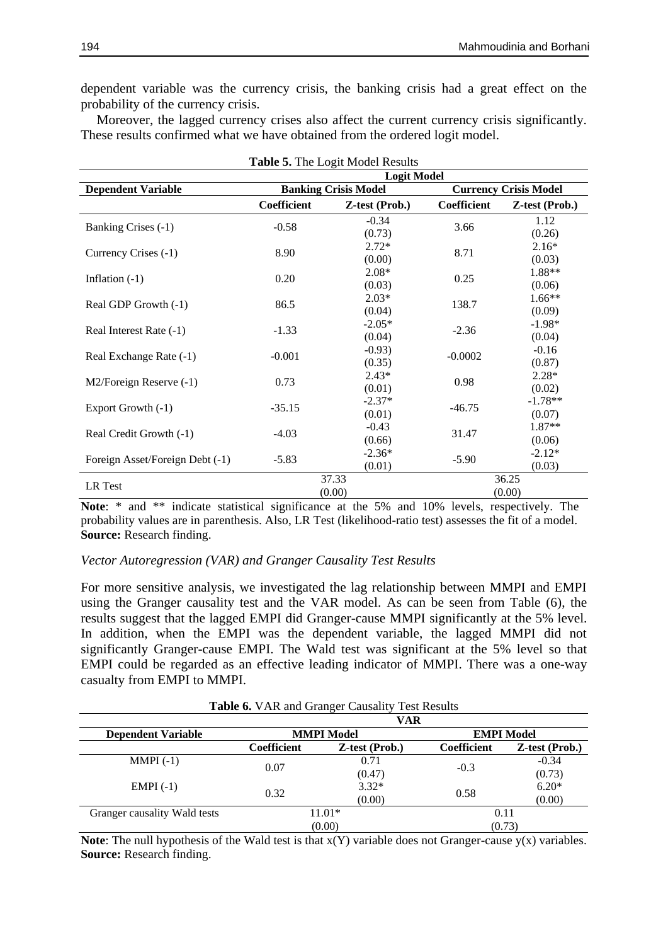dependent variable was the currency crisis, the banking crisis had a great effect on the probability of the currency crisis.

Moreover, the lagged currency crises also affect the current currency crisis significantly. These results confirmed what we have obtained from the ordered logit model.

| <b>Table 5.</b> The Logit Model Results |                    |                             |             |                              |  |
|-----------------------------------------|--------------------|-----------------------------|-------------|------------------------------|--|
|                                         | <b>Logit Model</b> |                             |             |                              |  |
| <b>Dependent Variable</b>               |                    | <b>Banking Crisis Model</b> |             | <b>Currency Crisis Model</b> |  |
|                                         | <b>Coefficient</b> | Z-test (Prob.)              | Coefficient | Z-test (Prob.)               |  |
| Banking Crises (-1)                     | $-0.58$            | $-0.34$<br>(0.73)           | 3.66        | 1.12<br>(0.26)               |  |
| Currency Crises (-1)                    | 8.90               | $2.72*$<br>(0.00)           | 8.71        | $2.16*$<br>(0.03)            |  |
| Inflation $(-1)$                        | 0.20               | $2.08*$<br>(0.03)           | 0.25        | 1.88**<br>(0.06)             |  |
| Real GDP Growth (-1)                    | 86.5               | $2.03*$<br>(0.04)           | 138.7       | $1.66**$<br>(0.09)           |  |
| Real Interest Rate (-1)                 | $-1.33$            | $-2.05*$<br>(0.04)          | $-2.36$     | $-1.98*$<br>(0.04)           |  |
| Real Exchange Rate (-1)                 | $-0.001$           | $-0.93$<br>(0.35)           | $-0.0002$   | $-0.16$<br>(0.87)            |  |
| $M2$ /Foreign Reserve $(-1)$            | 0.73               | $2.43*$<br>(0.01)           | 0.98        | $2.28*$<br>(0.02)            |  |
| Export Growth (-1)                      | $-35.15$           | $-2.37*$<br>(0.01)          | $-46.75$    | $-1.78**$<br>(0.07)          |  |
| Real Credit Growth (-1)                 | $-4.03$            | $-0.43$<br>(0.66)           | 31.47       | 1.87**<br>(0.06)             |  |
| Foreign Asset/Foreign Debt (-1)         | $-5.83$            | $-2.36*$<br>(0.01)          | $-5.90$     | $-2.12*$<br>(0.03)           |  |
| LR Test                                 |                    | 37.33<br>(0.00)             |             | 36.25<br>(0.00)              |  |

Note: \* and \*\* indicate statistical significance at the 5% and 10% levels, respectively. The probability values are in parenthesis. Also, LR Test (likelihood-ratio test) assesses the fit of a model. **Source:** Research finding.

## *Vector Autoregression (VAR) and Granger Causality Test Results*

For more sensitive analysis, we investigated the lag relationship between MMPI and EMPI using the Granger causality test and the VAR model. As can be seen from Table (6), the results suggest that the lagged EMPI did Granger-cause MMPI significantly at the 5% level. In addition, when the EMPI was the dependent variable, the lagged MMPI did not significantly Granger-cause EMPI. The Wald test was significant at the 5% level so that EMPI could be regarded as an effective leading indicator of MMPI. There was a one-way casualty from EMPI to MMPI.

|  |  |  | Table 6. VAR and Granger Causality Test Results |  |  |
|--|--|--|-------------------------------------------------|--|--|
|--|--|--|-------------------------------------------------|--|--|

|                              | VAR                |                   |                    |                |
|------------------------------|--------------------|-------------------|--------------------|----------------|
| <b>Dependent Variable</b>    |                    | <b>MMPI Model</b> | <b>EMPI Model</b>  |                |
|                              | <b>Coefficient</b> | Z-test (Prob.)    | <b>Coefficient</b> | Z-test (Prob.) |
| $MMPI(-1)$                   | 0.07               | 0.71              | $-0.3$             | $-0.34$        |
|                              |                    | (0.47)            |                    | (0.73)         |
| $EMPI(-1)$                   | 0.32               | $3.32*$           | 0.58               | $6.20*$        |
|                              |                    | (0.00)            |                    | (0.00)         |
| Granger causality Wald tests | 11.01*             |                   | 0.11               |                |
|                              | (0.00)             |                   | (0.73)             |                |

**Note:** The null hypothesis of the Wald test is that  $x(Y)$  variable does not Granger-cause  $y(x)$  variables. **Source:** Research finding.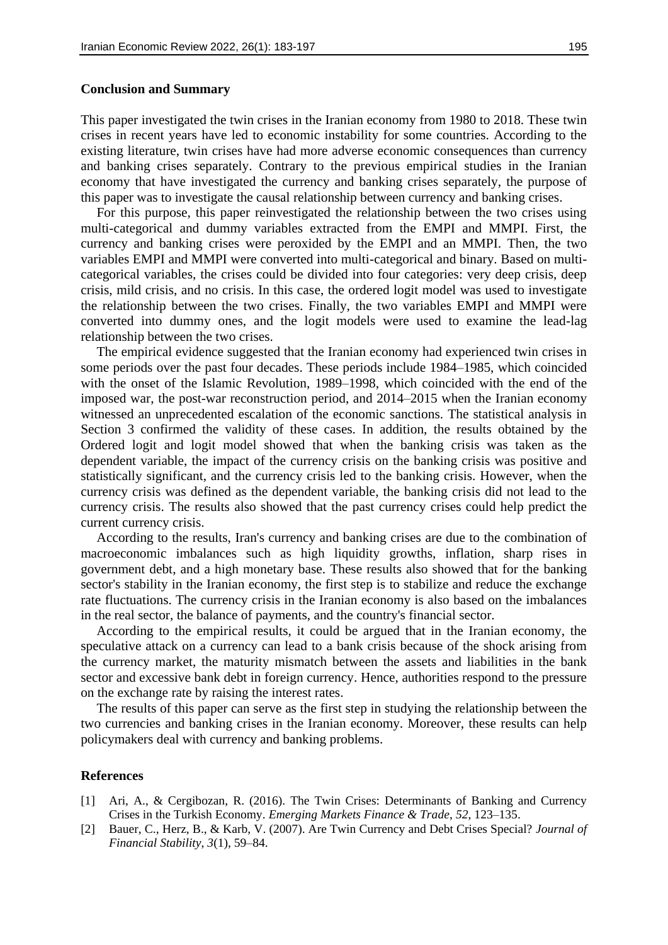#### **Conclusion and Summary**

This paper investigated the twin crises in the Iranian economy from 1980 to 2018. These twin crises in recent years have led to economic instability for some countries. According to the existing literature, twin crises have had more adverse economic consequences than currency and banking crises separately. Contrary to the previous empirical studies in the Iranian economy that have investigated the currency and banking crises separately, the purpose of this paper was to investigate the causal relationship between currency and banking crises.

For this purpose, this paper reinvestigated the relationship between the two crises using multi-categorical and dummy variables extracted from the EMPI and MMPI. First, the currency and banking crises were peroxided by the EMPI and an MMPI. Then, the two variables EMPI and MMPI were converted into multi-categorical and binary. Based on multicategorical variables, the crises could be divided into four categories: very deep crisis, deep crisis, mild crisis, and no crisis. In this case, the ordered logit model was used to investigate the relationship between the two crises. Finally, the two variables EMPI and MMPI were converted into dummy ones, and the logit models were used to examine the lead-lag relationship between the two crises.

The empirical evidence suggested that the Iranian economy had experienced twin crises in some periods over the past four decades. These periods include 1984–1985, which coincided with the onset of the Islamic Revolution, 1989–1998, which coincided with the end of the imposed war, the post-war reconstruction period, and 2014–2015 when the Iranian economy witnessed an unprecedented escalation of the economic sanctions. The statistical analysis in Section 3 confirmed the validity of these cases. In addition, the results obtained by the Ordered logit and logit model showed that when the banking crisis was taken as the dependent variable, the impact of the currency crisis on the banking crisis was positive and statistically significant, and the currency crisis led to the banking crisis. However, when the currency crisis was defined as the dependent variable, the banking crisis did not lead to the currency crisis. The results also showed that the past currency crises could help predict the current currency crisis.

According to the results, Iran's currency and banking crises are due to the combination of macroeconomic imbalances such as high liquidity growths, inflation, sharp rises in government debt, and a high monetary base. These results also showed that for the banking sector's stability in the Iranian economy, the first step is to stabilize and reduce the exchange rate fluctuations. The currency crisis in the Iranian economy is also based on the imbalances in the real sector, the balance of payments, and the country's financial sector.

According to the empirical results, it could be argued that in the Iranian economy, the speculative attack on a currency can lead to a bank crisis because of the shock arising from the currency market, the maturity mismatch between the assets and liabilities in the bank sector and excessive bank debt in foreign currency. Hence, authorities respond to the pressure on the exchange rate by raising the interest rates.

The results of this paper can serve as the first step in studying the relationship between the two currencies and banking crises in the Iranian economy. Moreover, these results can help policymakers deal with currency and banking problems.

#### **References**

- [1] Ari, A., & Cergibozan, R. (2016). The Twin Crises: Determinants of Banking and Currency Crises in the Turkish Economy. *Emerging Markets Finance & Trade*, *52*, 123–135.
- [2] Bauer, C., Herz, B., & Karb, V. (2007). Are Twin Currency and Debt Crises Special? *Journal of Financial Stability*, *3*(1), 59–84.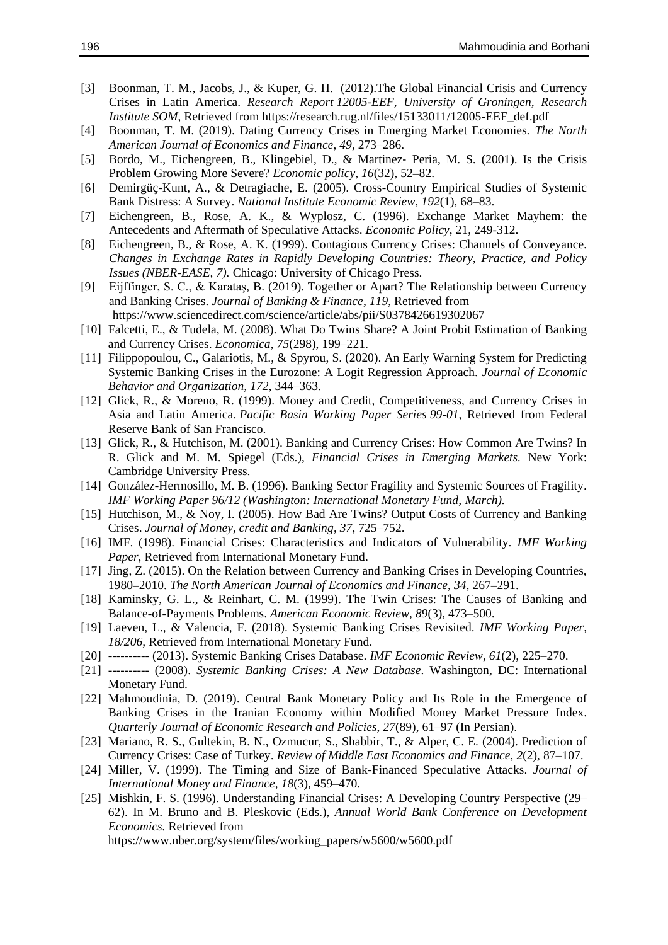- [3] Boonman, T. M., Jacobs, J., & Kuper, G. H. (2012).The Global Financial Crisis and Currency Crises in Latin America. *Research Report 12005-EEF, University of Groningen, Research Institute SOM*, Retrieved from https://research.rug.nl/files/15133011/12005-EEF\_def.pdf
- [4] Boonman, T. M. (2019). Dating Currency Crises in Emerging Market Economies. *The North American Journal of Economics and Finance*, *49*, 273–286.
- [5] Bordo, M., Eichengreen, B., Klingebiel, D., & Martinez- Peria, M. S. (2001). Is the Crisis Problem Growing More Severe? *Economic policy*, *16*(32), 52–82.
- [6] Demirgüç-Kunt, A., & Detragiache, E. (2005). Cross-Country Empirical Studies of Systemic Bank Distress: A Survey. *National Institute Economic Review*, *192*(1), 68–83.
- [7] Eichengreen, B., Rose, A. K., & Wyplosz, C. (1996). Exchange Market Mayhem: the Antecedents and Aftermath of Speculative Attacks. *Economic Policy*, 21, 249-312.
- [8] Eichengreen, B., & Rose, A. K. (1999). Contagious Currency Crises: Channels of Conveyance. *Changes in Exchange Rates in Rapidly Developing Countries: Theory, Practice, and Policy Issues (NBER-EASE, 7).* Chicago: University of Chicago Press.
- [9] Eijffinger, S. C., & Karataş, B. (2019). Together or Apart? The Relationship between Currency and Banking Crises. *Journal of Banking & Finance*, *119*, Retrieved from https://www.sciencedirect.com/science/article/abs/pii/S0378426619302067
- [10] Falcetti, E., & Tudela, M. (2008). What Do Twins Share? A Joint Probit Estimation of Banking and Currency Crises. *Economica*, *75*(298), 199–221.
- [11] Filippopoulou, C., Galariotis, M., & Spyrou, S. (2020). An Early Warning System for Predicting Systemic Banking Crises in the Eurozone: A Logit Regression Approach. *Journal of Economic Behavior and Organization, 172*, 344–363.
- [12] Glick, R., & Moreno, R. (1999). Money and Credit, Competitiveness, and Currency Crises in Asia and Latin America. *Pacific Basin Working Paper Series 99-01*, Retrieved from Federal Reserve Bank of San Francisco.
- [13] Glick, R., & Hutchison, M. (2001). Banking and Currency Crises: How Common Are Twins? In R. Glick and M. M. Spiegel (Eds.), *Financial Crises in Emerging Markets.* New York: Cambridge University Press.
- [14] González-Hermosillo, M. B. (1996). Banking Sector Fragility and Systemic Sources of Fragility. *IMF Working Paper 96/12 (Washington: International Monetary Fund, March).*
- [15] Hutchison, M., & Noy, I. (2005). How Bad Are Twins? Output Costs of Currency and Banking Crises. *Journal of Money, credit and Banking*, *37*, 725–752.
- [16] IMF. (1998). Financial Crises: Characteristics and Indicators of Vulnerability. *IMF Working Paper,* Retrieved from International Monetary Fund.
- [17] Jing, Z. (2015). On the Relation between Currency and Banking Crises in Developing Countries, 1980–2010. *The North American Journal of Economics and Finance*, *34*, 267–291.
- [18] Kaminsky, G. L., & Reinhart, C. M. (1999). The Twin Crises: The Causes of Banking and Balance-of-Payments Problems. *American Economic Review*, *89*(3), 473–500.
- [19] Laeven, L., & Valencia, F. (2018). Systemic Banking Crises Revisited. *IMF Working Paper, 18/206,* Retrieved from International Monetary Fund.
- [20] ---------- (2013). Systemic Banking Crises Database. *IMF Economic Review*, *61*(2), 225–270.
- [21] ---------- (2008). *Systemic Banking Crises: A New Database*. Washington, DC: International Monetary Fund.
- [22] Mahmoudinia, D. (2019). Central Bank Monetary Policy and Its Role in the Emergence of Banking Crises in the Iranian Economy within Modified Money Market Pressure Index. *Quarterly Journal of Economic Research and Policies*, *27*(89), 61–97 (In Persian).
- [23] Mariano, R. S., Gultekin, B. N., Ozmucur, S., Shabbir, T., & Alper, C. E. (2004). Prediction of Currency Crises: Case of Turkey. *Review of Middle East Economics and Finance*, *2*(2), 87–107.
- [24] Miller, V. (1999). The Timing and Size of Bank-Financed Speculative Attacks. *Journal of International Money and Finance*, *18*(3), 459–470.
- [25] Mishkin, F. S. (1996). Understanding Financial Crises: A Developing Country Perspective (29– 62). In M. Bruno and B. Pleskovic (Eds.), *Annual World Bank Conference on Development Economics.* Retrieved from https://www.nber.org/system/files/working\_papers/w5600/w5600.pdf